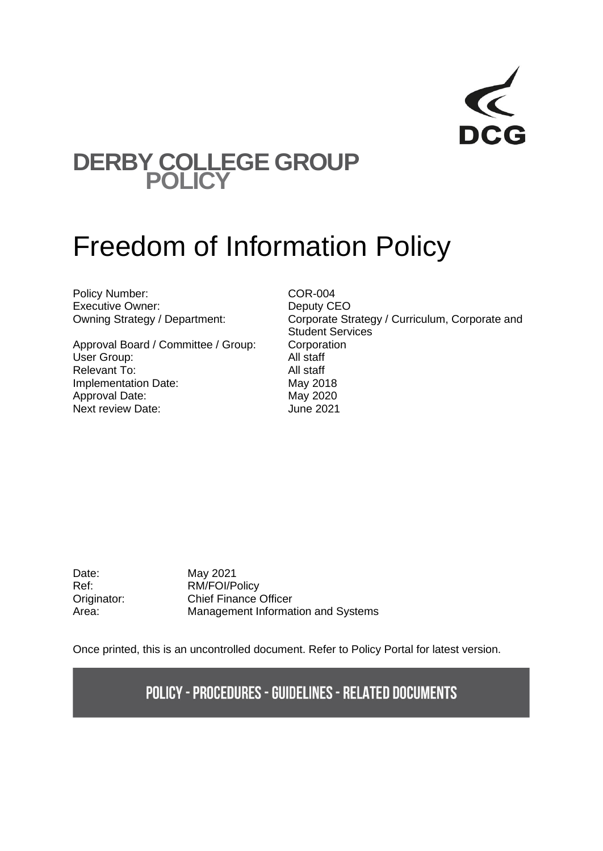## **DERBY COLLEGE GROUP POLICY**

# Freedom of Information Policy

Policy Number:<br>
Executive Owner:<br>
COR-004<br>
Deputy CEO Executive Owner:

Approval Board / Committee / Group: Corporation User Group: All staff Relevant To: All staff Implementation Date: May 2018 Approval Date: May 2020 Next review Date: June 2021

Owning Strategy / Department: Corporate Strategy / Curriculum, Corporate and Student Services

Date: May 2021

Ref: RM/FOI/Policy Originator: Chief Finance Officer Area: Management Information and Systems

Once printed, this is an uncontrolled document. Refer to Policy Portal for latest version.

**POLICY - PROCEDURES - GUIDELINES - RELATED DOCUMENTS**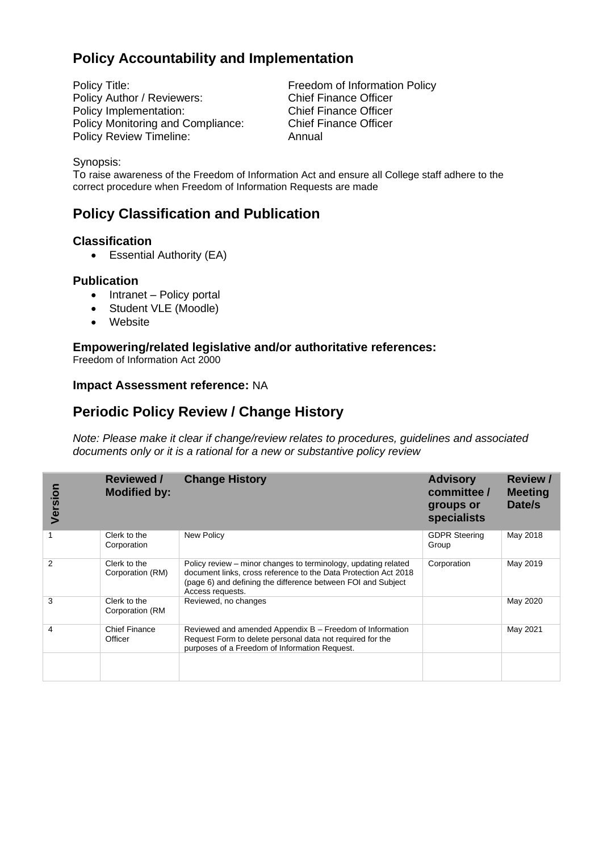### **Policy Accountability and Implementation**

Policy Title:<br>
Policy Author / Reviewers:<br>
Chief Finance Officer<br>
Chief Finance Officer Policy Author / Reviewers: Policy Implementation: Chief Finance Officer Policy Monitoring and Compliance: Chief Finance Officer Policy Review Timeline: Annual

#### Synopsis:

To raise awareness of the Freedom of Information Act and ensure all College staff adhere to the correct procedure when Freedom of Information Requests are made

### **Policy Classification and Publication**

#### **Classification**

• Essential Authority (EA)

#### **Publication**

- Intranet Policy portal
- Student VLE (Moodle)
- Website

#### **Empowering/related legislative and/or authoritative references:**

Freedom of Information Act 2000

#### **Impact Assessment reference:** NA

### **Periodic Policy Review / Change History**

*Note: Please make it clear if change/review relates to procedures, guidelines and associated documents only or it is a rational for a new or substantive policy review*

| Version       | <b>Reviewed /</b><br><b>Modified by:</b> | <b>Change History</b>                                                                                                                                                                                                 | <b>Advisory</b><br>committee /<br>groups or<br>specialists | <b>Review /</b><br><b>Meeting</b><br>Date/s |
|---------------|------------------------------------------|-----------------------------------------------------------------------------------------------------------------------------------------------------------------------------------------------------------------------|------------------------------------------------------------|---------------------------------------------|
|               | Clerk to the<br>Corporation              | <b>New Policy</b>                                                                                                                                                                                                     | <b>GDPR Steering</b><br>Group                              | May 2018                                    |
| $\mathcal{P}$ | Clerk to the<br>Corporation (RM)         | Policy review – minor changes to terminology, updating related<br>document links, cross reference to the Data Protection Act 2018<br>(page 6) and defining the difference between FOI and Subject<br>Access requests. | Corporation                                                | May 2019                                    |
| 3             | Clerk to the<br>Corporation (RM          | Reviewed, no changes                                                                                                                                                                                                  |                                                            | May 2020                                    |
| 4             | <b>Chief Finance</b><br>Officer          | Reviewed and amended Appendix B – Freedom of Information<br>Request Form to delete personal data not required for the<br>purposes of a Freedom of Information Request.                                                |                                                            | May 2021                                    |
|               |                                          |                                                                                                                                                                                                                       |                                                            |                                             |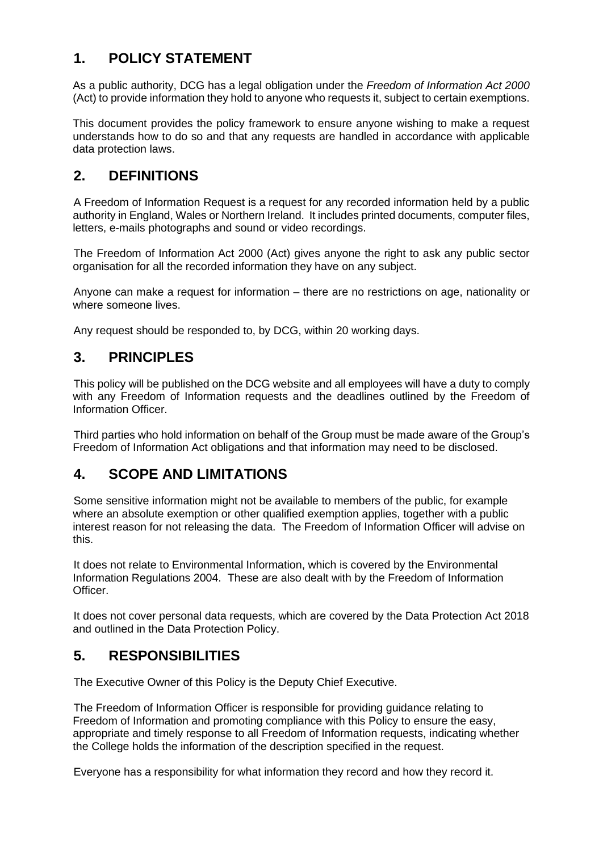### **1. POLICY STATEMENT**

As a public authority, DCG has a legal obligation under the *Freedom of Information Act 2000* (Act) to provide information they hold to anyone who requests it, subject to certain exemptions.

This document provides the policy framework to ensure anyone wishing to make a request understands how to do so and that any requests are handled in accordance with applicable data protection laws.

### **2. DEFINITIONS**

A Freedom of Information Request is a request for any recorded information held by a public authority in England, Wales or Northern Ireland. It includes printed documents, computer files, letters, e-mails photographs and sound or video recordings.

The Freedom of Information Act 2000 (Act) gives anyone the right to ask any public sector organisation for all the recorded information they have on any subject.

Anyone can make a request for information – there are no restrictions on age, nationality or where someone lives.

Any request should be responded to, by DCG, within 20 working days.

### **3. PRINCIPLES**

This policy will be published on the DCG website and all employees will have a duty to comply with any Freedom of Information requests and the deadlines outlined by the Freedom of Information Officer.

Third parties who hold information on behalf of the Group must be made aware of the Group's Freedom of Information Act obligations and that information may need to be disclosed.

### **4. SCOPE AND LIMITATIONS**

Some sensitive information might not be available to members of the public, for example where an absolute exemption or other qualified exemption applies, together with a public interest reason for not releasing the data. The Freedom of Information Officer will advise on this.

It does not relate to Environmental Information, which is covered by the Environmental Information Regulations 2004. These are also dealt with by the Freedom of Information Officer.

It does not cover personal data requests, which are covered by the Data Protection Act 2018 and outlined in the Data Protection Policy.

### **5. RESPONSIBILITIES**

The Executive Owner of this Policy is the Deputy Chief Executive.

The Freedom of Information Officer is responsible for providing guidance relating to Freedom of Information and promoting compliance with this Policy to ensure the easy, appropriate and timely response to all Freedom of Information requests, indicating whether the College holds the information of the description specified in the request.

Everyone has a responsibility for what information they record and how they record it.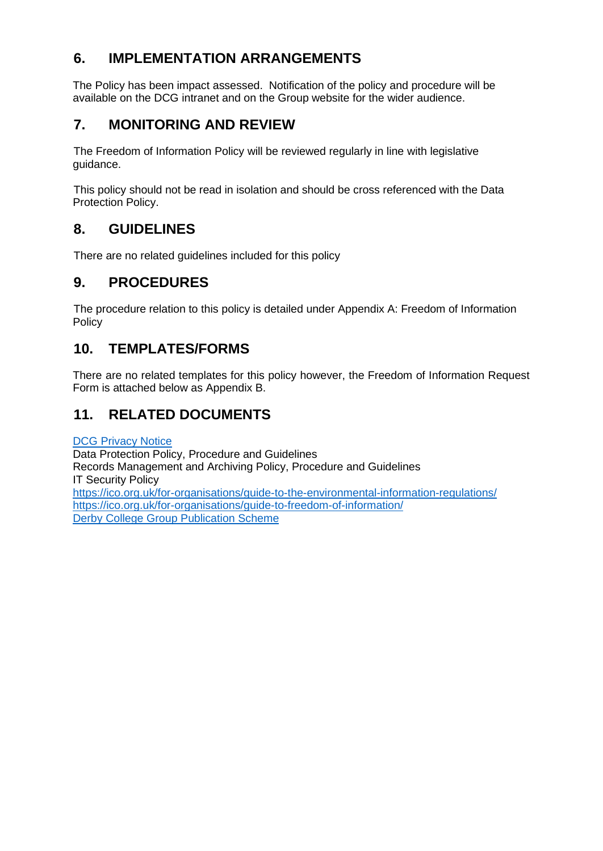### **6. IMPLEMENTATION ARRANGEMENTS**

The Policy has been impact assessed. Notification of the policy and procedure will be available on the DCG intranet and on the Group website for the wider audience.

### **7. MONITORING AND REVIEW**

The Freedom of Information Policy will be reviewed regularly in line with legislative guidance.

This policy should not be read in isolation and should be cross referenced with the Data Protection Policy.

### **8. GUIDELINES**

There are no related guidelines included for this policy

### **9. PROCEDURES**

The procedure relation to this policy is detailed under Appendix A: Freedom of Information Policy

### **10. TEMPLATES/FORMS**

There are no related templates for this policy however, the Freedom of Information Request Form is attached below as Appendix B.

### **11. RELATED DOCUMENTS**

DCG [Privacy Notice](https://www.derby-college.ac.uk/documents/misc/Privacy-Notice.pdf) Data Protection Policy, Procedure and Guidelines Records Management and Archiving Policy, Procedure and Guidelines IT Security Policy <https://ico.org.uk/for-organisations/guide-to-the-environmental-information-regulations/> <https://ico.org.uk/for-organisations/guide-to-freedom-of-information/> [Derby College Group Publication Scheme](https://ico.org.uk/media/for-organisations/documents/1153/model-publication-scheme.pdf)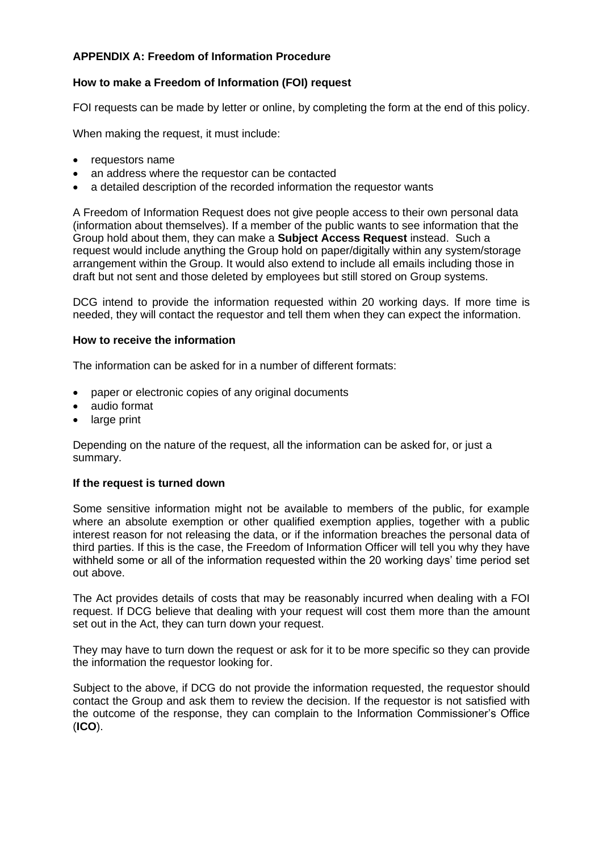### **APPENDIX A: Freedom of Information Procedure**

#### **How to make a Freedom of Information (FOI) request**

FOI requests can be made by letter or online, by completing the form at the end of this policy.

When making the request, it must include:

- requestors name
- an address where the requestor can be contacted
- a detailed description of the recorded information the requestor wants

A Freedom of Information Request does not give people access to their own personal data (information about themselves). If a member of the public wants to see information that the Group hold about them, they can make a **Subject Access Request** instead. Such a request would include anything the Group hold on paper/digitally within any system/storage arrangement within the Group. It would also extend to include all emails including those in draft but not sent and those deleted by employees but still stored on Group systems.

DCG intend to provide the information requested within 20 working days. If more time is needed, they will contact the requestor and tell them when they can expect the information.

#### **How to receive the information**

The information can be asked for in a number of different formats:

- paper or electronic copies of any original documents
- audio format
- large print

Depending on the nature of the request, all the information can be asked for, or just a summary.

#### **If the request is turned down**

Some sensitive information might not be available to members of the public, for example where an absolute exemption or other qualified exemption applies, together with a public interest reason for not releasing the data, or if the information breaches the personal data of third parties. If this is the case, the Freedom of Information Officer will tell you why they have withheld some or all of the information requested within the 20 working days' time period set out above.

The Act provides details of costs that may be reasonably incurred when dealing with a FOI request. If DCG believe that dealing with your request will cost them more than the amount set out in the Act, they can turn down your request.

They may have to turn down the request or ask for it to be more specific so they can provide the information the requestor looking for.

Subject to the above, if DCG do not provide the information requested, the requestor should contact the Group and ask them to review the decision. If the requestor is not satisfied with the outcome of the response, they can complain to the Information Commissioner's Office (**ICO**).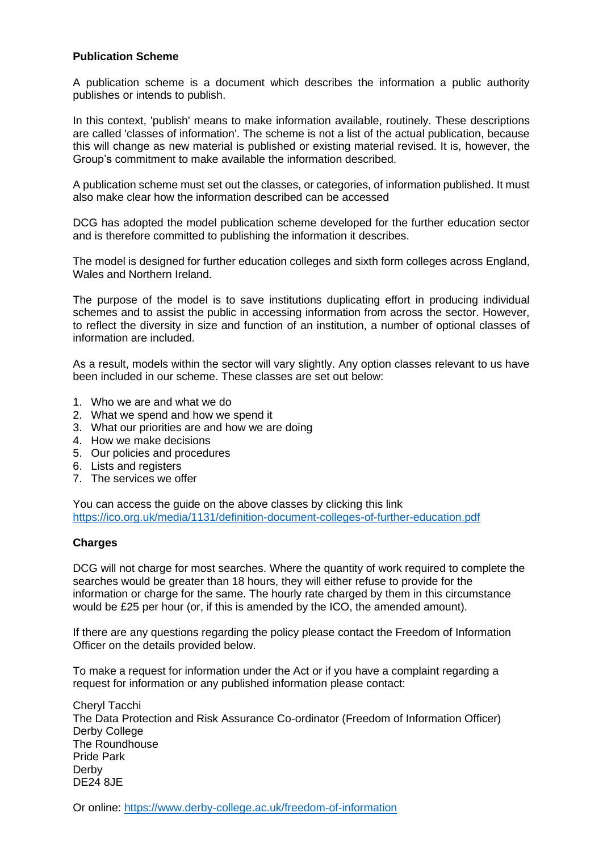#### **Publication Scheme**

A publication scheme is a document which describes the information a public authority publishes or intends to publish.

In this context, 'publish' means to make information available, routinely. These descriptions are called 'classes of information'. The scheme is not a list of the actual publication, because this will change as new material is published or existing material revised. It is, however, the Group's commitment to make available the information described.

A publication scheme must set out the classes, or categories, of information published. It must also make clear how the information described can be accessed

DCG has adopted the model publication scheme developed for the further education sector and is therefore committed to publishing the information it describes.

The model is designed for further education colleges and sixth form colleges across England, Wales and Northern Ireland.

The purpose of the model is to save institutions duplicating effort in producing individual schemes and to assist the public in accessing information from across the sector. However, to reflect the diversity in size and function of an institution, a number of optional classes of information are included.

As a result, models within the sector will vary slightly. Any option classes relevant to us have been included in our scheme. These classes are set out below:

- 1. Who we are and what we do
- 2. What we spend and how we spend it
- 3. What our priorities are and how we are doing
- 4. How we make decisions
- 5. Our policies and procedures
- 6. Lists and registers
- 7. The services we offer

You can access the guide on the above classes by clicking this link <https://ico.org.uk/media/1131/definition-document-colleges-of-further-education.pdf>

#### **Charges**

DCG will not charge for most searches. Where the quantity of work required to complete the searches would be greater than 18 hours, they will either refuse to provide for the information or charge for the same. The hourly rate charged by them in this circumstance would be £25 per hour (or, if this is amended by the ICO, the amended amount).

If there are any questions regarding the policy please contact the Freedom of Information Officer on the details provided below.

To make a request for information under the Act or if you have a complaint regarding a request for information or any published information please contact:

Cheryl Tacchi The Data Protection and Risk Assurance Co-ordinator (Freedom of Information Officer) Derby College The Roundhouse Pride Park Derby DE24 8JE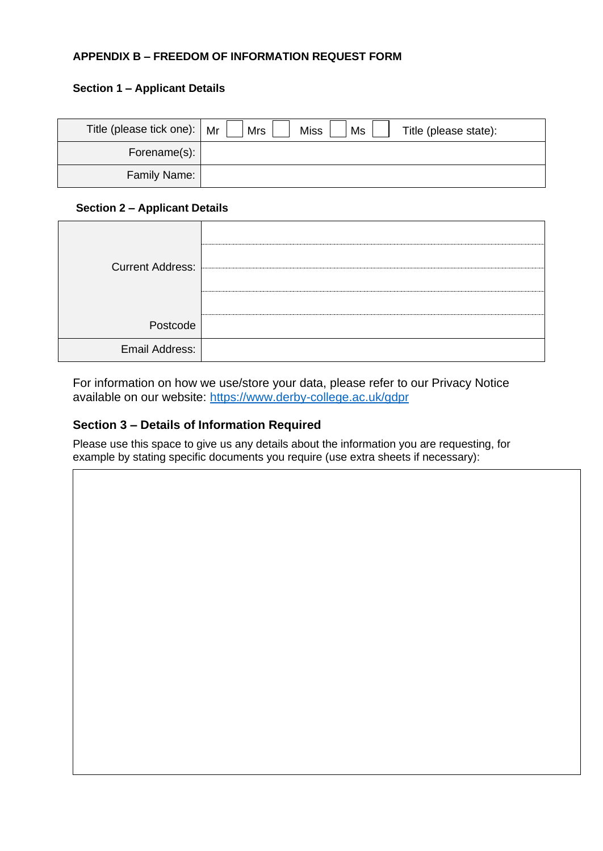#### **APPENDIX B – FREEDOM OF INFORMATION REQUEST FORM**

#### **Section 1 – Applicant Details**

| Title (please tick one):   Mr | <b>Mrs</b><br><b>Miss</b><br>Ms<br>Title (please state): |
|-------------------------------|----------------------------------------------------------|
| Forename(s):                  |                                                          |
| Family Name:                  |                                                          |

#### **Section 2 – Applicant Details**

| <b>Current Address:</b> |  |
|-------------------------|--|
|                         |  |
|                         |  |
| Postcode                |  |
| Email Address:          |  |

For information on how we use/store your data, please refer to our Privacy Notice available on our website:<https://www.derby-college.ac.uk/gdpr>

#### **Section 3 – Details of Information Required**

Please use this space to give us any details about the information you are requesting, for example by stating specific documents you require (use extra sheets if necessary):